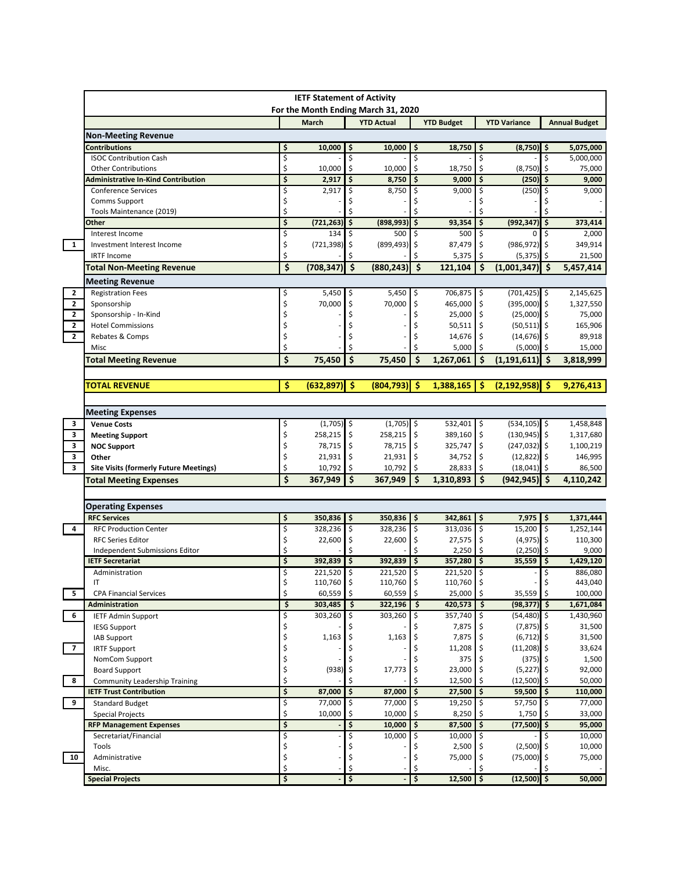|                              | <b>IETF Statement of Activity</b><br>For the Month Ending March 31, 2020 |          |                |                                 |                       |          |                   |          |                                 |      |                      |
|------------------------------|--------------------------------------------------------------------------|----------|----------------|---------------------------------|-----------------------|----------|-------------------|----------|---------------------------------|------|----------------------|
|                              |                                                                          |          | <b>March</b>   |                                 | <b>YTD Actual</b>     |          | <b>YTD Budget</b> |          | <b>YTD Variance</b>             |      | <b>Annual Budget</b> |
|                              | <b>Non-Meeting Revenue</b>                                               |          |                |                                 |                       |          |                   |          |                                 |      |                      |
|                              | <b>Contributions</b>                                                     | \$       | 10,000         | \$                              | 10,000                | \$       | 18,750            | \$       | $(8,750)$ \$                    |      | 5,075,000            |
|                              | <b>ISOC Contribution Cash</b>                                            | \$       |                | \$                              |                       | \$       |                   | Ś        |                                 | Ś    | 5,000,000            |
|                              | <b>Other Contributions</b>                                               | \$       | 10,000         | \$                              | 10,000                | \$       | 18,750            | \$       | (8, 750)                        | -\$  | 75,000               |
|                              | Administrative In-Kind Contribution                                      | \$       | 2,917          | \$                              | $8,750$ $\frac{1}{2}$ |          | 9,000             | \$       | $(250)$ \$                      |      | 9,000                |
|                              | <b>Conference Services</b><br>Comms Support                              | \$<br>\$ | 2,917          | \$                              | 8,750                 | \$       | 9,000             | \$       | (250)                           | -\$  | 9,000                |
|                              | Tools Maintenance (2019)                                                 | \$       |                | \$                              |                       | \$       |                   | Ś        |                                 | \$   |                      |
|                              | Other                                                                    | \$       | (721, 263)     | \$                              | (898, 993)            | \$       | 93,354            | \$       | (992, 347)                      | \$   | 373,414              |
|                              | Interest Income                                                          | \$       | 134            | \$                              | 500                   | \$       | 500               | \$       | 0                               | \$   | 2,000                |
| $\mathbf{1}$                 | Investment Interest Income                                               | \$       | (721, 398)     | \$                              | $(899, 493)$ \$       |          | 87,479            | \$       | $(986, 972)$ \$                 |      | 349,914              |
|                              | <b>IRTF Income</b>                                                       | \$       |                | Ś                               |                       | Ś        | 5,375             | Ś.       | (5, 375)                        | l \$ | 21,500               |
|                              | <b>Total Non-Meeting Revenue</b>                                         | \$       | (708,347)      | $\overline{\boldsymbol{\zeta}}$ | (880, 243)            | \$       | 121,104           | Ś        | $(1,001,347)$ \$                |      | 5,457,414            |
|                              | <b>Meeting Revenue</b>                                                   |          |                |                                 |                       |          |                   |          |                                 |      |                      |
| 2                            | <b>Registration Fees</b>                                                 | Ş        | 5,450          | \$                              | $5,450$ \$            |          | 706,875 \$        |          | $(701, 425)$ \$                 |      | 2,145,625            |
| $\mathbf{2}$                 | Sponsorship                                                              | \$       | 70,000         | \$                              | 70.000                | \$       | 465,000           | \$       | $(395,000)$ \$                  |      | 1,327,550            |
| $\mathbf{2}$                 | Sponsorship - In-Kind                                                    | \$       |                | \$                              |                       | \$       | 25,000            | \$       | $(25,000)$ \$                   |      | 75,000               |
| $\mathbf{2}$<br>$\mathbf{2}$ | <b>Hotel Commissions</b>                                                 | \$<br>\$ |                | Ś                               |                       | \$       | 50,511            | \$<br>\$ | $(50,511)$ \$<br>$(14, 676)$ \$ |      | 165,906<br>89,918    |
|                              | Rebates & Comps<br>Misc                                                  | \$       |                | Ś                               |                       | Ś        | 14,676<br>5,000   | Ś        | $(5,000)$ \$                    |      | 15,000               |
|                              | <b>Total Meeting Revenue</b>                                             | \$       | 75,450         | \$                              | 75,450                | \$       | 1,267,061         | Ś        | $(1,191,611)$ \$                |      | 3,818,999            |
|                              |                                                                          |          |                |                                 |                       |          |                   |          |                                 |      |                      |
|                              | <b>TOTAL REVENUE</b>                                                     | \$       | (632, 897)     | $\ddot{\bm{\zeta}}$             | (804, 793)            | Ŝ        | 1,388,165         | Ś        | $(2,192,958)$ \$                |      | 9,276,413            |
|                              |                                                                          |          |                |                                 |                       |          |                   |          |                                 |      |                      |
|                              | <b>Meeting Expenses</b>                                                  |          |                |                                 |                       |          |                   |          |                                 |      |                      |
| 3                            | <b>Venue Costs</b>                                                       | \$       | $(1,705)$ \$   |                                 | $(1,705)$ \$          |          | 532,401 \$        |          | $(534, 105)$ \$                 |      | 1,458,848            |
| 3                            | <b>Meeting Support</b>                                                   | \$       | 258,215        | \$                              | 258,215 \$            |          | 389,160           | \$       | $(130, 945)$ \$                 |      | 1,317,680            |
| 3                            | <b>NOC Support</b>                                                       | \$       | 78,715         | \$                              | 78,715 \$             |          | 325,747           | \$       | $(247, 032)$ \$                 |      | 1,100,219            |
| $\mathbf{3}$                 | Other                                                                    | \$       | 21,931         | \$                              | $21,931$   \$         |          | 34,752            | \$       | $(12,822)$ \$                   |      | 146,995              |
| 3                            | <b>Site Visits (formerly Future Meetings)</b>                            | \$       | 10,792         | \$                              | 10,792                | \$       | 28,833            | Ś.       | $(18,041)$ \$                   |      | 86,500               |
|                              | <b>Total Meeting Expenses</b>                                            | \$       | 367,949        | \$                              | 367,949               | l \$     | 1,310,893         | Ś.       | $(942, 945)$ \$                 |      | 4,110,242            |
|                              |                                                                          |          |                |                                 |                       |          |                   |          |                                 |      |                      |
|                              | <b>Operating Expenses</b>                                                |          |                |                                 |                       |          |                   |          |                                 |      |                      |
|                              | <b>RFC Services</b>                                                      | \$       | 350,836        | \$                              | $350,836$ \$          |          | $342,861$ \$      |          | $7,975$ \$                      |      | 1,371,444            |
| 4                            | <b>RFC Production Center</b>                                             | \$       | 328,236        | \$                              | 328,236 \$            |          | 313,036           | \$       | 15,200 \$                       |      | 1,252,144            |
|                              | <b>RFC Series Editor</b>                                                 | \$<br>\$ | 22,600         | \$<br>\$                        | 22,600                | \$<br>\$ | 27,575            | \$<br>Ŝ. | $(4,975)$ \$                    |      | 110,300              |
|                              | Independent Submissions Editor<br><b>IETF Secretariat</b>                | \$       | 392,839        | \$                              | 392,839               | \$       | 2,250<br>357,280  | \$       | $(2,250)$ \$<br>35,559          | \$   | 9,000<br>1,429,120   |
|                              | Administration                                                           | \$       | 221,520        | \$                              | 221,520               | \$       | 221,520           | \$       |                                 | \$   | 886,080              |
|                              | IT                                                                       | Ş        | $110,760$   \$ |                                 | $110,760$   \$        |          | $110,760$   \$    |          |                                 |      | 443,040              |
| 5                            | <b>CPA Financial Services</b>                                            | \$       | 60,559         | \$                              | 60,559                | \$       | 25,000            | \$       | 35,559                          | \$   | 100,000              |
|                              | Administration                                                           | \$       | 303,485        | \$                              | $322,196$ \$          |          | 420,573           | \$       | $(98, 377)$ \$                  |      | 1,671,084            |
| 6                            | <b>IETF Admin Support</b>                                                | \$       | 303,260        | \$                              | 303,260 \$            |          | 357,740           | -\$      | $(54, 480)$ \$                  |      | 1,430,960            |
|                              | <b>IESG Support</b>                                                      | \$       |                |                                 |                       |          | 7,875             |          | $(7,875)$ \$                    |      | 31,500               |
|                              | IAB Support                                                              | \$       | 1,163          |                                 | 1,163                 | \$       | 7,875             |          | $(6,712)$ \$                    |      | 31,500               |
| $\overline{\mathbf{z}}$      | <b>IRTF Support</b>                                                      | \$<br>\$ |                |                                 |                       |          | 11,208            |          | $(11,208)$ \$<br>$(375)$ \$     |      | 33,624               |
|                              | NomCom Support<br><b>Board Support</b>                                   | \$       | (938)          | Ş                               | 17,773                | \$       | 375<br>23,000     |          | $(5,227)$ \$                    |      | 1,500<br>92,000      |
| 8                            | <b>Community Leadership Training</b>                                     | \$       |                |                                 |                       |          | 12,500            |          | $(12,500)$ \$                   |      | 50,000               |
|                              | <b>IETF Trust Contribution</b>                                           | \$       | 87,000         | \$                              | 87,000 \$             |          | 27,500            | \$       | 59,500 \$                       |      | 110,000              |
| 9                            | <b>Standard Budget</b>                                                   | \$       | 77,000         | \$                              | $77,000$ \$           |          | 19,250            | \$       | $57,750$ \$                     |      | 77,000               |
|                              | <b>Special Projects</b>                                                  | \$       | 10,000         | \$                              | $10,000$   \$         |          | 8,250             |          | 1,750                           | -\$  | 33,000               |
|                              | <b>RFP Management Expenses</b>                                           | \$       |                | \$                              | $10,000$   \$         |          | 87,500            | \$       | $(77,500)$ \$                   |      | 95,000               |
|                              | Secretariat/Financial                                                    | \$       |                | \$                              | $10,000$ \$           |          | 10,000            |          |                                 |      | 10,000               |
|                              | Tools                                                                    | \$       |                |                                 |                       |          | 2,500             |          | $(2,500)$ \$                    |      | 10,000               |
| 10                           | Administrative<br>Misc.                                                  | \$<br>\$ |                | \$                              |                       | \$<br>\$ | 75,000            | \$       | $(75,000)$ \$                   |      | 75,000               |
|                              |                                                                          |          |                | \$                              |                       | \$       | 12,500            | \$       | $(12,500)$ \$                   |      | 50,000               |